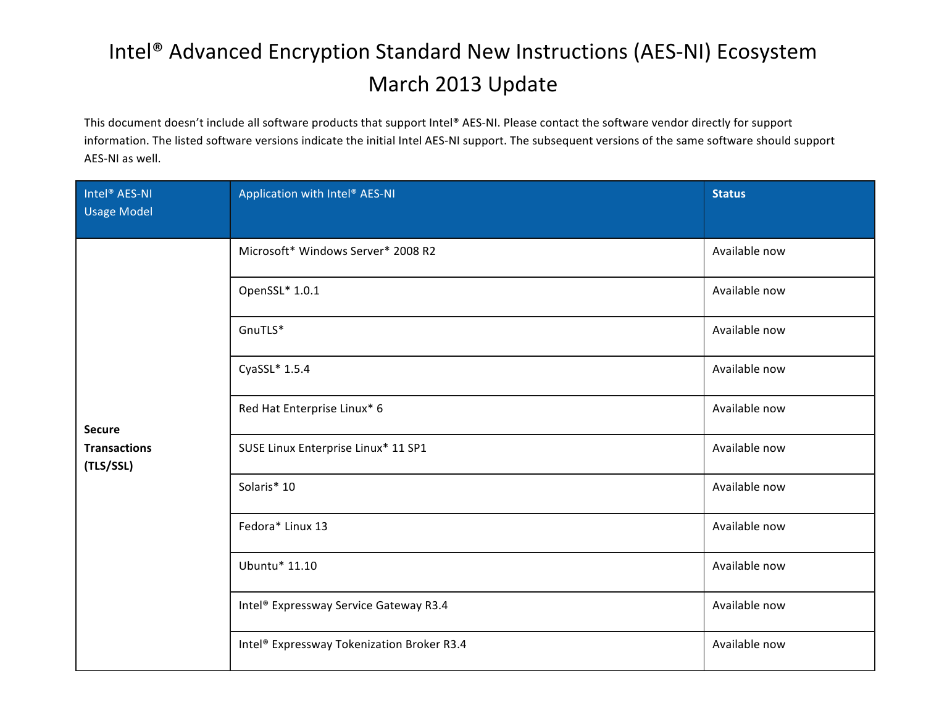## Intel<sup>®</sup> Advanced Encryption Standard New Instructions (AES-NI) Ecosystem March 2013 Update

This document doesn't include all software products that support Intel® AES-NI. Please contact the software vendor directly for support information. The listed software versions indicate the initial Intel AES-NI support. The subsequent versions of the same software should support AES-NI as well.

| Intel <sup>®</sup> AES-NI<br>Usage Model          | Application with Intel® AES-NI             | <b>Status</b> |
|---------------------------------------------------|--------------------------------------------|---------------|
| <b>Secure</b><br><b>Transactions</b><br>(TLS/SSL) | Microsoft* Windows Server* 2008 R2         | Available now |
|                                                   | OpenSSL* 1.0.1                             | Available now |
|                                                   | GnuTLS*                                    | Available now |
|                                                   | CyaSSL* 1.5.4                              | Available now |
|                                                   | Red Hat Enterprise Linux* 6                | Available now |
|                                                   | SUSE Linux Enterprise Linux* 11 SP1        | Available now |
|                                                   | Solaris* 10                                | Available now |
|                                                   | Fedora* Linux 13                           | Available now |
|                                                   | Ubuntu* 11.10                              | Available now |
|                                                   | Intel® Expressway Service Gateway R3.4     | Available now |
|                                                   | Intel® Expressway Tokenization Broker R3.4 | Available now |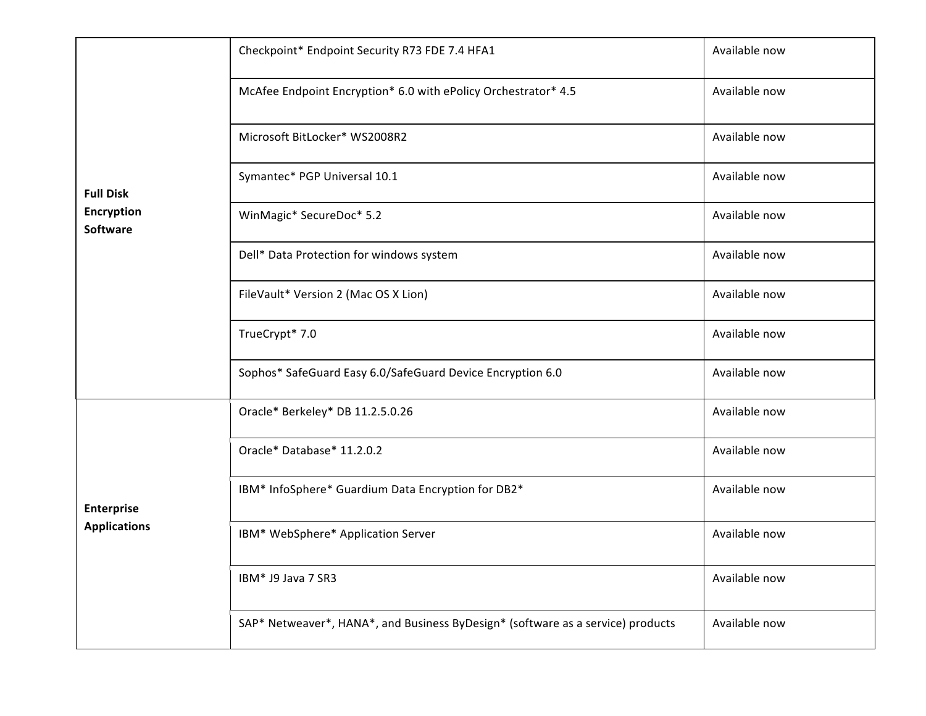|                                      | Checkpoint* Endpoint Security R73 FDE 7.4 HFA1                                  | Available now |
|--------------------------------------|---------------------------------------------------------------------------------|---------------|
|                                      | McAfee Endpoint Encryption* 6.0 with ePolicy Orchestrator* 4.5                  | Available now |
|                                      | Microsoft BitLocker* WS2008R2                                                   | Available now |
| <b>Full Disk</b>                     | Symantec* PGP Universal 10.1                                                    | Available now |
| <b>Encryption</b><br><b>Software</b> | WinMagic* SecureDoc* 5.2                                                        | Available now |
|                                      | Dell* Data Protection for windows system                                        | Available now |
|                                      | FileVault* Version 2 (Mac OS X Lion)                                            | Available now |
|                                      | TrueCrypt* 7.0                                                                  | Available now |
|                                      | Sophos* SafeGuard Easy 6.0/SafeGuard Device Encryption 6.0                      | Available now |
|                                      | Oracle* Berkeley* DB 11.2.5.0.26                                                | Available now |
|                                      | Oracle* Database* 11.2.0.2                                                      | Available now |
| Enterprise                           | IBM* InfoSphere* Guardium Data Encryption for DB2*                              | Available now |
| <b>Applications</b>                  | IBM* WebSphere* Application Server                                              | Available now |
|                                      | IBM* J9 Java 7 SR3                                                              | Available now |
|                                      | SAP* Netweaver*, HANA*, and Business ByDesign* (software as a service) products | Available now |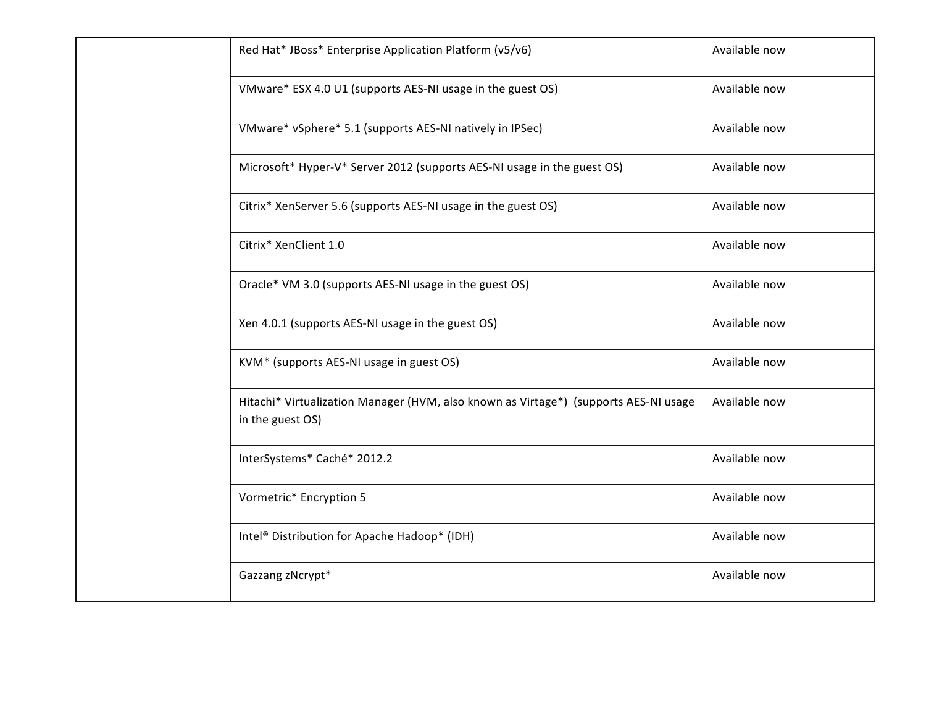| Red Hat* JBoss* Enterprise Application Platform (v5/v6)                                                  | Available now |
|----------------------------------------------------------------------------------------------------------|---------------|
| VMware* ESX 4.0 U1 (supports AES-NI usage in the guest OS)                                               | Available now |
| VMware* vSphere* 5.1 (supports AES-NI natively in IPSec)                                                 | Available now |
| Microsoft* Hyper-V* Server 2012 (supports AES-NI usage in the guest OS)                                  | Available now |
| Citrix* XenServer 5.6 (supports AES-NI usage in the guest OS)                                            | Available now |
| Citrix* XenClient 1.0                                                                                    | Available now |
| Oracle* VM 3.0 (supports AES-NI usage in the guest OS)                                                   | Available now |
| Xen 4.0.1 (supports AES-NI usage in the guest OS)                                                        | Available now |
| KVM* (supports AES-NI usage in guest OS)                                                                 | Available now |
| Hitachi* Virtualization Manager (HVM, also known as Virtage*) (supports AES-NI usage<br>in the guest OS) | Available now |
| InterSystems* Caché* 2012.2                                                                              | Available now |
| Vormetric* Encryption 5                                                                                  | Available now |
| Intel® Distribution for Apache Hadoop* (IDH)                                                             | Available now |
| Gazzang zNcrypt*                                                                                         | Available now |
|                                                                                                          |               |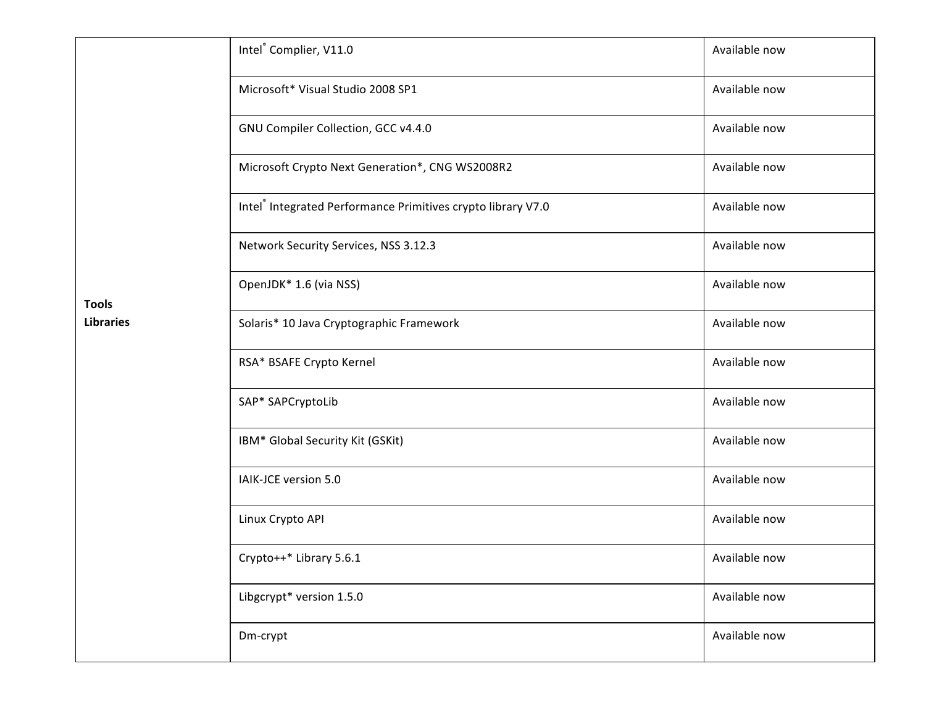|                                  | Intel®Complier, V11.0                                        | Available now |
|----------------------------------|--------------------------------------------------------------|---------------|
|                                  | Microsoft* Visual Studio 2008 SP1                            | Available now |
|                                  | GNU Compiler Collection, GCC v4.4.0                          | Available now |
|                                  | Microsoft Crypto Next Generation*, CNG WS2008R2              | Available now |
|                                  | Intel® Integrated Performance Primitives crypto library V7.0 | Available now |
| <b>Tools</b><br><b>Libraries</b> | Network Security Services, NSS 3.12.3                        | Available now |
|                                  | OpenJDK* 1.6 (via NSS)                                       | Available now |
|                                  | Solaris* 10 Java Cryptographic Framework                     | Available now |
|                                  | RSA* BSAFE Crypto Kernel                                     | Available now |
|                                  | SAP* SAPCryptoLib                                            | Available now |
|                                  | IBM* Global Security Kit (GSKit)                             | Available now |
|                                  | IAIK-JCE version 5.0                                         | Available now |
|                                  | Linux Crypto API                                             | Available now |
|                                  | Crypto++* Library 5.6.1                                      | Available now |
|                                  | Libgcrypt* version 1.5.0                                     | Available now |
|                                  | Dm-crypt                                                     | Available now |